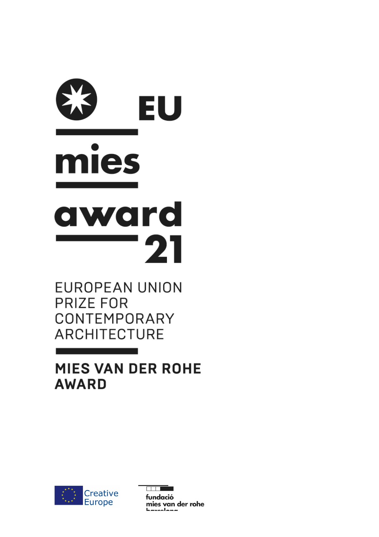# EU mies award 21

**EUROPEAN UNION PRIZE FOR** CONTEMPORARY **ARCHITECTURE** 

**MIES VAN DER ROHE AWARD** 



<u>ana sa</u> fundació mies van der rohe <u>haveolana</u>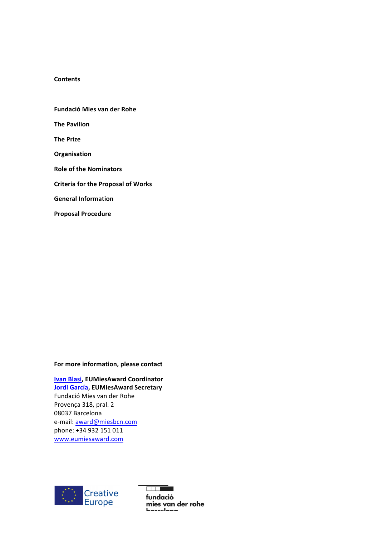### **Contents**

**Fundació Mies van der Rohe The Pavilion The Prize Organisation Role of the Nominators Criteria for the Proposal of Works General Information Proposal Procedure**

# For more information, please contact

**Ivan Blasi, EUMiesAward Coordinator Jordi García, EUMiesAward Secretary** Fundació Mies van der Rohe Provença 318, pral. 2 08037 Barcelona e-mail: award@miesbcn.com phone: +34 932 151 011 www.eumiesaward.com



**Film Co** fundació mies van der rohe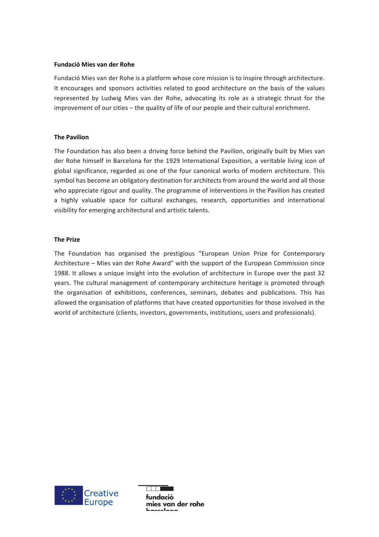#### **Fundació Mies van der Rohe**

Fundació Mies van der Rohe is a platform whose core mission is to inspire through architecture. It encourages and sponsors activities related to good architecture on the basis of the values represented by Ludwig Mies van der Rohe, advocating its role as a strategic thrust for the improvement of our cities – the quality of life of our people and their cultural enrichment.

#### **The Pavilion**

The Foundation has also been a driving force behind the Pavilion, originally built by Mies van der Rohe himself in Barcelona for the 1929 International Exposition, a veritable living icon of global significance, regarded as one of the four canonical works of modern architecture. This symbol has become an obligatory destination for architects from around the world and all those who appreciate rigour and quality. The programme of interventions in the Pavilion has created a highly valuable space for cultural exchanges, research, opportunities and international visibility for emerging architectural and artistic talents.

#### **The Prize**

The Foundation has organised the prestigious "European Union Prize for Contemporary Architecture – Mies van der Rohe Award" with the support of the European Commission since 1988. It allows a unique insight into the evolution of architecture in Europe over the past 32 years. The cultural management of contemporary architecture heritage is promoted through the organisation of exhibitions, conferences, seminars, debates and publications. This has allowed the organisation of platforms that have created opportunities for those involved in the world of architecture (clients, investors, governments, institutions, users and professionals).



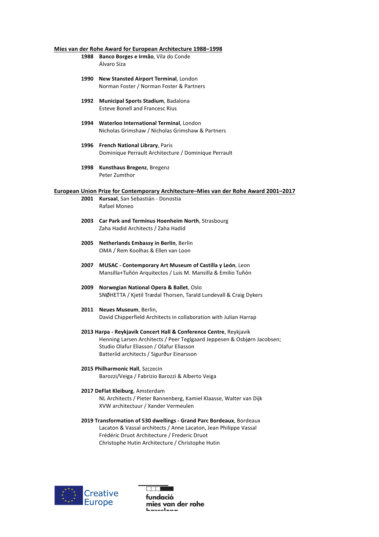#### **Mies van der Rohe Award for European Architecture 1988-1998**

1988 **Banco Borges e Irmão**, Vila do Conde Álvaro Siza

- 1990 New Stansted Airport Terminal, London Norman Foster / Norman Foster & Partners
- **1992 Municipal Sports Stadium**, Badalona Esteve Bonell and Francesc Rius
- 1994 **Waterloo International Terminal**, London Nicholas Grimshaw / Nicholas Grimshaw & Partners
- **1996 French National Library**, Paris Dominique Perrault Architecture / Dominique Perrault
- **1998 Kunsthaus Bregenz**, Bregenz Peter Zumthor

#### European Union Prize for Contemporary Architecture–Mies van der Rohe Award 2001–2017

- 2001 **Kursaal**, San Sebastián Donostia Rafael Moneo
- 2003 Car Park and Terminus Hoenheim North, Strasbourg Zaha Hadid Architects / Zaha Hadid
- **2005 Netherlands Embassy in Berlin**, Berlin OMA / Rem Koolhas & Ellen van Loon
- 2007 **MUSAC** Contemporary Art Museum of Castilla y León, Leon Mansilla+Tuñón Arquitectos / Luis M. Mansilla & Emilio Tuñón
- **2009 Norwegian National Opera & Ballet**, Oslo SNØHETTA / Kjetil Trædal Thorsen, Tarald Lundevall & Craig Dykers

# 2011 **Neues Museum**, Berlin,

David Chipperfield Architects in collaboration with Julian Harrap

- 2013 Harpa Reykjavik Concert Hall & Conference Centre, Reykjavik Henning Larsen Architects / Peer Teglgaard Jeppesen & Osbjørn Jacobsen; Studio Olafur Eliasson / Olafur Eliasson Batteríid architects / Sigurður Einarsson
- **2015 Philharmonic Hall**, Szczecin Barozzi/Veiga / Fabrizio Barozzi & Alberto Veiga

#### 2017 DeFlat Kleiburg, Amsterdam NL Architects / Pieter Bannenberg, Kamiel Klaasse, Walter van Dijk XVW architectuur / Xander Vermeulen

**2019 Transformation of 530 dwellings - Grand Parc Bordeaux**, Bordeaux Lacaton & Vassal architects / Anne Lacaton, Jean Philippe Vassal Frédéric Druot Architecture / Frederic Druot Christophe Hutin Architecture / Christophe Hutin



 $\overline{\phantom{0}}$  . The state of  $\overline{\phantom{0}}$ fundació mies van der rohe ممتمامستم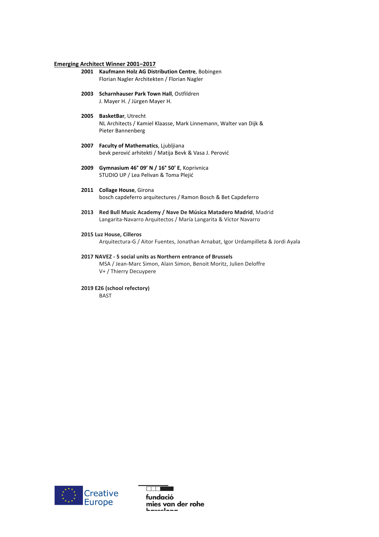#### **Emerging Architect Winner 2001–2017**

- 2001 **Kaufmann Holz AG Distribution Centre**, Bobingen Florian Nagler Architekten / Florian Nagler
- **2003 Scharnhauser Park Town Hall**, Ostfildren J. Mayer H. / Jürgen Mayer H.
- 2005 **BasketBar**, Utrecht NL Architects / Kamiel Klaasse, Mark Linnemann, Walter van Dijk & Pieter Bannenberg
- **2007 Faculty of Mathematics**, Ljubljiana bevk perović arhitekti / Matija Bevk & Vasa J. Perović
- **2009 Gymnasium 46° 09' N / 16° 50' E**, Koprivnica STUDIO UP / Lea Pelivan & Toma Plejić
- 2011 **Collage House**, Girona bosch capdeferro arquitectures / Ramon Bosch & Bet Capdeferro
- 2013 Red Bull Music Academy / Nave De Música Matadero Madrid, Madrid Langarita-Navarro Arquitectos / María Langarita & Víctor Navarro
- **2015 Luz House, Cilleros**

Arquitectura-G / Aitor Fuentes, Jonathan Arnabat, Igor Urdampilleta & Jordi Ayala

#### **2017 NAVEZ - 5 social units as Northern entrance of Brussels**

MSA / Jean-Marc Simon, Alain Simon, Benoit Moritz, Julien Deloffre V+ / Thierry Decuypere

**2019 E26 (school refectory)** BAST

Creative<br>Europe

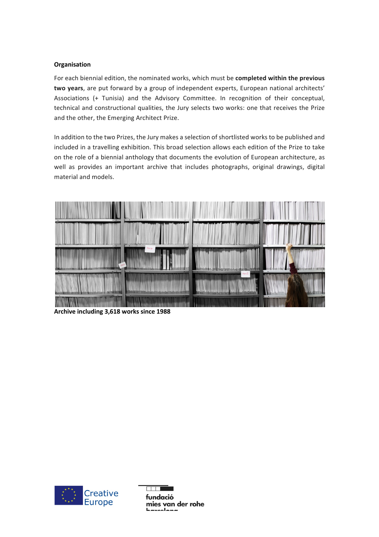# **Organisation**

For each biennial edition, the nominated works, which must be **completed within the previous** two years, are put forward by a group of independent experts, European national architects' Associations (+ Tunisia) and the Advisory Committee. In recognition of their conceptual, technical and constructional qualities, the Jury selects two works: one that receives the Prize and the other, the Emerging Architect Prize.

In addition to the two Prizes, the Jury makes a selection of shortlisted works to be published and included in a travelling exhibition. This broad selection allows each edition of the Prize to take on the role of a biennial anthology that documents the evolution of European architecture, as well as provides an important archive that includes photographs, original drawings, digital material and models.



Archive including 3,618 works since 1988



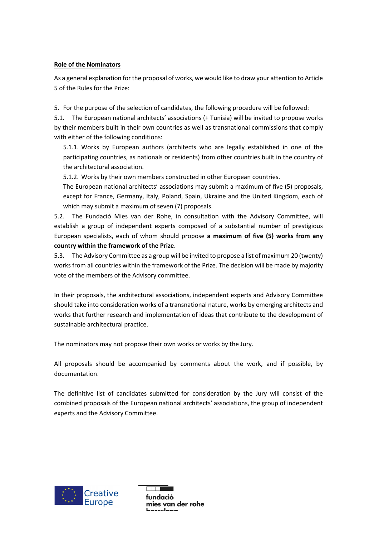# **Role of the Nominators**

As a general explanation for the proposal of works, we would like to draw your attention to Article 5 of the Rules for the Prize:

5. For the purpose of the selection of candidates, the following procedure will be followed:

5.1. The European national architects' associations (+ Tunisia) will be invited to propose works by their members built in their own countries as well as transnational commissions that comply with either of the following conditions:

5.1.1. Works by European authors (architects who are legally established in one of the participating countries, as nationals or residents) from other countries built in the country of the architectural association.

5.1.2. Works by their own members constructed in other European countries.

The European national architects' associations may submit a maximum of five (5) proposals, except for France, Germany, Italy, Poland, Spain, Ukraine and the United Kingdom, each of which may submit a maximum of seven (7) proposals.

5.2. The Fundació Mies van der Rohe, in consultation with the Advisory Committee, will establish a group of independent experts composed of a substantial number of prestigious European specialists, each of whom should propose **a maximum of five (5) works from any** country within the framework of the Prize.

5.3. The Advisory Committee as a group will be invited to propose a list of maximum 20 (twenty) works from all countries within the framework of the Prize. The decision will be made by majority vote of the members of the Advisory committee.

In their proposals, the architectural associations, independent experts and Advisory Committee should take into consideration works of a transnational nature, works by emerging architects and works that further research and implementation of ideas that contribute to the development of sustainable architectural practice.

The nominators may not propose their own works or works by the Jury.

All proposals should be accompanied by comments about the work, and if possible, by documentation.

The definitive list of candidates submitted for consideration by the Jury will consist of the combined proposals of the European national architects' associations, the group of independent experts and the Advisory Committee.



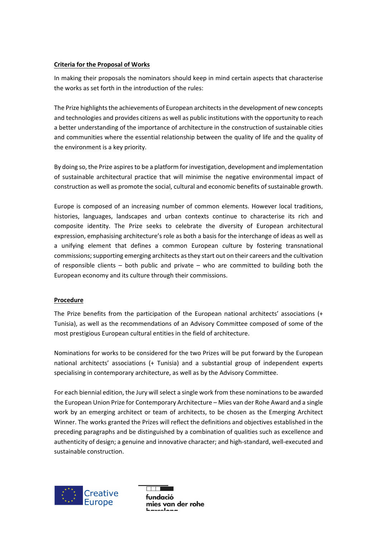# **Criteria for the Proposal of Works**

In making their proposals the nominators should keep in mind certain aspects that characterise the works as set forth in the introduction of the rules:

The Prize highlights the achievements of European architects in the development of new concepts and technologies and provides citizens as well as public institutions with the opportunity to reach a better understanding of the importance of architecture in the construction of sustainable cities and communities where the essential relationship between the quality of life and the quality of the environment is a key priority.

By doing so, the Prize aspires to be a platform for investigation, development and implementation of sustainable architectural practice that will minimise the negative environmental impact of construction as well as promote the social, cultural and economic benefits of sustainable growth.

Europe is composed of an increasing number of common elements. However local traditions, histories, languages, landscapes and urban contexts continue to characterise its rich and composite identity. The Prize seeks to celebrate the diversity of European architectural expression, emphasising architecture's role as both a basis for the interchange of ideas as well as a unifying element that defines a common European culture by fostering transnational commissions; supporting emerging architects as they start out on their careers and the cultivation of responsible clients  $-$  both public and private  $-$  who are committed to building both the European economy and its culture through their commissions.

## **Procedure**

The Prize benefits from the participation of the European national architects' associations  $(+)$ Tunisia), as well as the recommendations of an Advisory Committee composed of some of the most prestigious European cultural entities in the field of architecture.

Nominations for works to be considered for the two Prizes will be put forward by the European national architects' associations (+ Tunisia) and a substantial group of independent experts specialising in contemporary architecture, as well as by the Advisory Committee.

For each biennial edition, the Jury will select a single work from these nominations to be awarded the European Union Prize for Contemporary Architecture – Mies van der Rohe Award and a single work by an emerging architect or team of architects, to be chosen as the Emerging Architect Winner. The works granted the Prizes will reflect the definitions and objectives established in the preceding paragraphs and be distinguished by a combination of qualities such as excellence and authenticity of design; a genuine and innovative character; and high-standard, well-executed and sustainable construction.



fundació mies van der rohe سمماءسس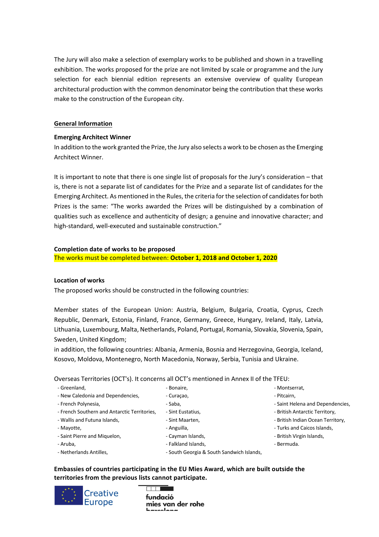The Jury will also make a selection of exemplary works to be published and shown in a travelling exhibition. The works proposed for the prize are not limited by scale or programme and the Jury selection for each biennial edition represents an extensive overview of quality European architectural production with the common denominator being the contribution that these works make to the construction of the European city.

## **General Information**

# **Emerging Architect Winner**

In addition to the work granted the Prize, the Jury also selects a work to be chosen as the Emerging Architect Winner.

It is important to note that there is one single list of proposals for the Jury's consideration – that is, there is not a separate list of candidates for the Prize and a separate list of candidates for the Emerging Architect. As mentioned in the Rules, the criteria for the selection of candidates for both Prizes is the same: "The works awarded the Prizes will be distinguished by a combination of qualities such as excellence and authenticity of design; a genuine and innovative character; and high-standard, well-executed and sustainable construction."

#### **Completion date of works to be proposed**

The works must be completed between: October 1, 2018 and October 1, 2020

## **Location of works**

The proposed works should be constructed in the following countries:

Member states of the European Union: Austria, Belgium, Bulgaria, Croatia, Cyprus, Czech Republic, Denmark, Estonia, Finland, France, Germany, Greece, Hungary, Ireland, Italy, Latvia, Lithuania, Luxembourg, Malta, Netherlands, Poland, Portugal, Romania, Slovakia, Slovenia, Spain, Sweden, United Kingdom:

in addition, the following countries: Albania, Armenia, Bosnia and Herzegovina, Georgia, Iceland, Kosovo, Moldova, Montenegro, North Macedonia, Norway, Serbia, Tunisia and Ukraine.

Overseas Territories (OCT's). It concerns all OCT's mentioned in Annex II of the TFEU:

- Greenland, - New Caledonia and Dependencies, - French Polynesia, - French Southern and Antarctic Territories, - Wallis and Futuna Islands, - Mayotte, - Saint Pierre and Miquelon, - Aruba, - Netherlands Antilles. - Bonaire, - Curaçao, - Saba, - Sint Eustatius, - Sint Maarten, - Anguilla, - Cayman Islands, - Falkland Islands, - South Georgia & South Sandwich Islands,

**Embassies of countries participating in the EU Mies Award, which are built outside the** territories from the previous lists cannot participate.



fundació mies van der rohe <u>havaalana</u>

- Montserrat,
- Pitcairn,
- Saint Helena and Dependencies,
- British Antarctic Territory,
- British Indian Ocean Territory,
- Turks and Caicos Islands,
- British Virgin Islands,
- Bermuda.